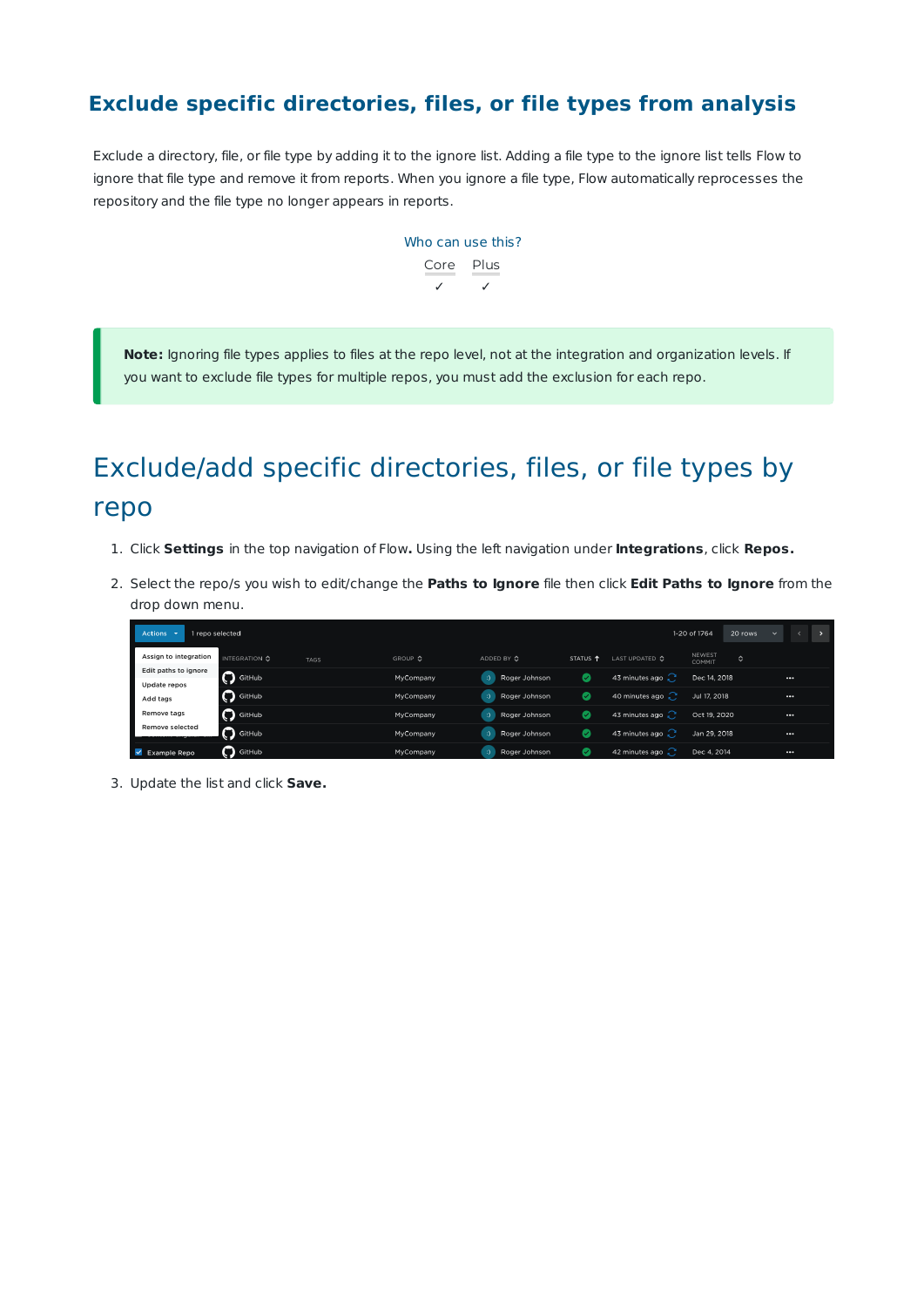#### **Exclude specific directories, files, or file types from analysis**

Exclude a directory, file, or file type by adding it to the ignore list. Adding a file type to the ignore list tells Flow to ignore that file type and remove it from reports. When you ignore a file type, Flow automatically reprocesses the repository and the file type no longer appears in reports.



**Note:** Ignoring file types applies to files at the repo level, not at the integration and organization levels. If you want to exclude file types for multiple repos, you must add the exclusion for each repo.

# Exclude/add specific directories, files, or file types by repo

- 1. Click **Settings** in the top navigation of Flow**.** Using the left navigation under **Integrations**, click **Repos.**
- 2. Select the repo/s you wish to edit/change the **Paths to Ignore** file then click **Edit Paths to Ignore** from the drop down menu.

| Actions $\sim$                       | 1 repo selected          |             |           |                                |                     |                           | 1-20 of 1764     | 20 rows        | $\ddot{}$ |          | $\rightarrow$ |
|--------------------------------------|--------------------------|-------------|-----------|--------------------------------|---------------------|---------------------------|------------------|----------------|-----------|----------|---------------|
| Assign to integration                | INTEGRATION C            | <b>TAGS</b> | GROUP C   | ADDED BY ♦                     | STATUS <sup>T</sup> | LAST UPDATED $\Diamond$   | NEWEST<br>COMMIT | $\ddot{\circ}$ |           |          |               |
| Edit paths to ignore<br>Update repos | GitHub                   |             | MyCompany | Roger Johnson<br>$\mathcal{D}$ | Ø                   | 43 minutes ago $\bigcirc$ | Dec 14, 2018     |                |           | $\cdots$ |               |
| Add tags                             | GitHub                   |             | MyCompany | $\mathcal{D}$<br>Roger Johnson | $\bullet$           | 40 minutes ago $\sim$     | Jul 17, 2018     |                |           | $\cdots$ |               |
| Remove tags                          | GitHub                   |             | MyCompany | $\sim$<br>Roger Johnson        | Ø                   | 43 minutes ago $\bigcirc$ | Oct 19, 2020     |                |           |          |               |
| <b>Remove selected</b>               | $\bigcap$ GitHub         |             | MyCompany | ا ن<br>Roger Johnson           | Ø                   | 43 minutes ago $\bigcirc$ | Jan 29, 2018     |                |           |          |               |
| $\blacktriangleright$ Example Repo   | $\mathbf{\Omega}$ GitHub |             | MyCompany | $\mathcal{D}$<br>Roger Johnson | Ø                   | 42 minutes ago $\bigcirc$ | Dec 4, 2014      |                |           | $\cdots$ |               |

3. Update the list and click **Save.**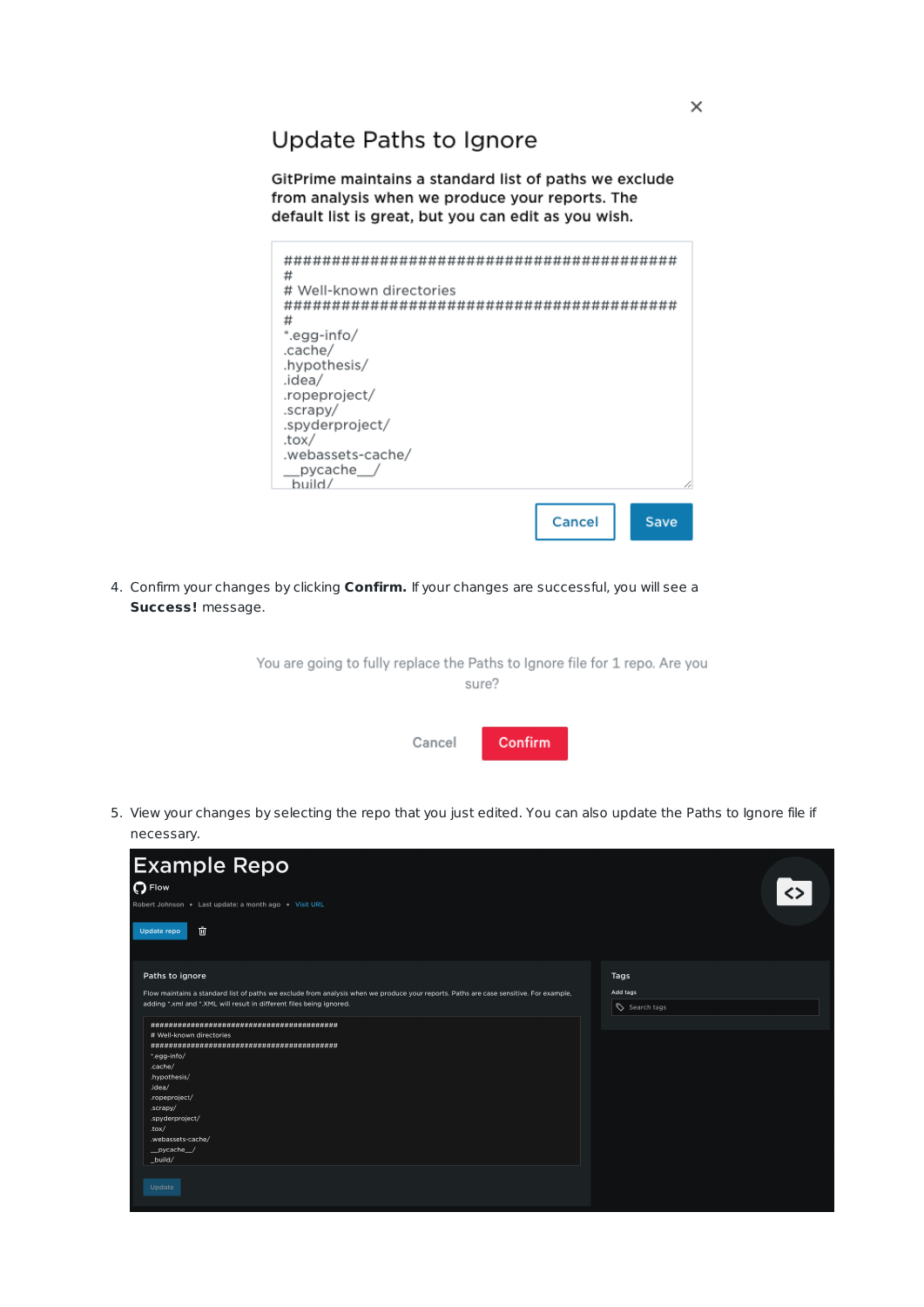Update Paths to Ignore

GitPrime maintains a standard list of paths we exclude from analysis when we produce your reports. The default list is great, but you can edit as you wish.

| #<br># Well-known directories<br>#<br>*.egg-info/<br>.cache/<br>.hypothesis/<br>.idea/<br>.ropeproject/<br>.scrapy/<br>.spyderproject/<br>.tox/<br>.webassets-cache/<br>pycache /<br>build/ |        |      |
|---------------------------------------------------------------------------------------------------------------------------------------------------------------------------------------------|--------|------|
|                                                                                                                                                                                             | Cancel | Save |

4. Confirm your changes by clicking **Confirm.** If your changes are successful, you will see a **Success!** message.

> You are going to fully replace the Paths to Ignore file for 1 repo. Are you sure?

> > Cancel Confirm

5. View your changes by selecting the repo that you just edited. You can also update the Paths to Ignore file if necessary.

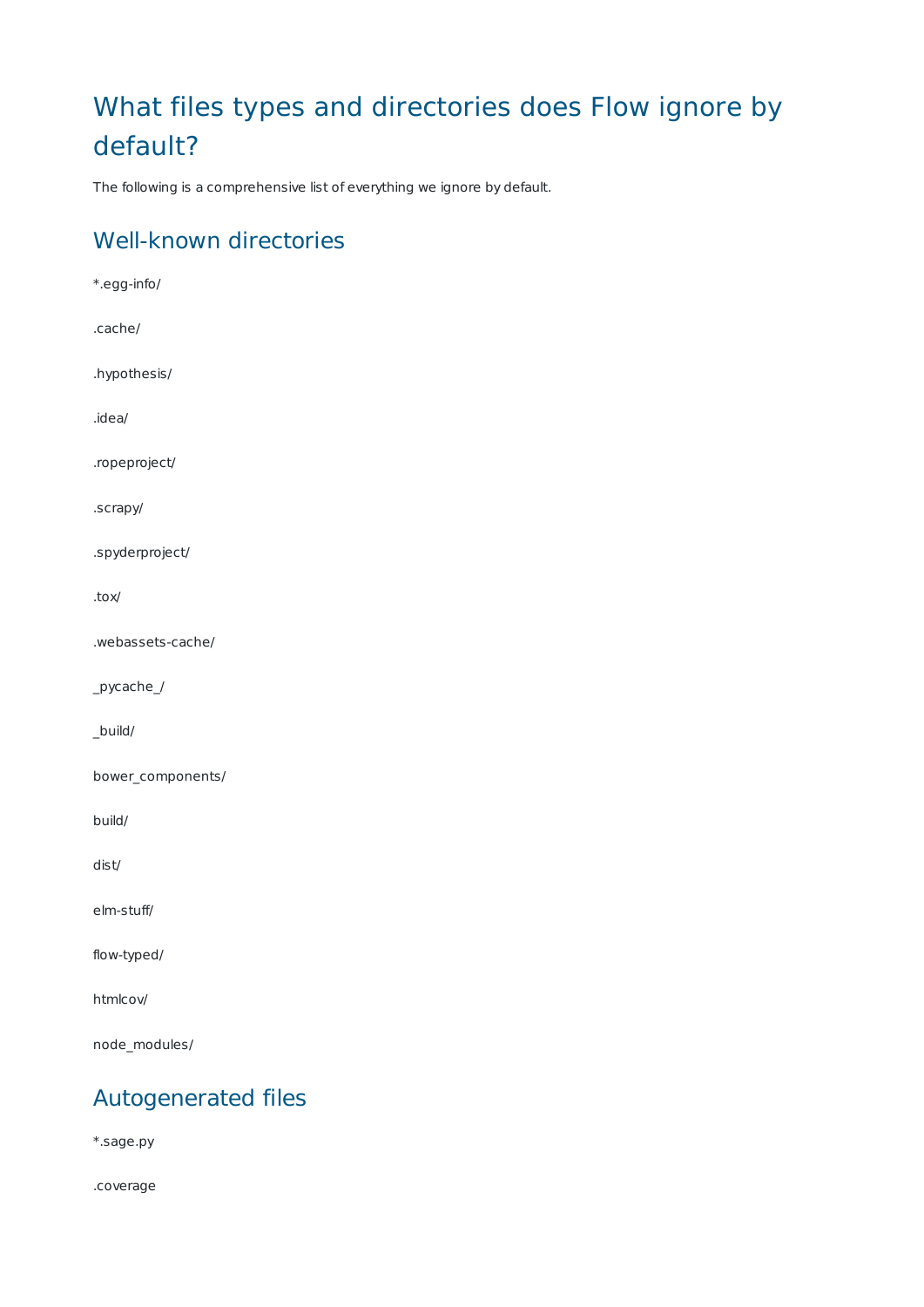# What files types and directories does Flow ignore by default?

The following is a comprehensive list of everything we ignore by default.

#### Well-known directories

\*.egg-info/ .cache/ .hypothesis/ .idea/ .ropeproject/ .scrapy/ .spyderproject/ .tox/ .webassets-cache/ \_pycache\_/ \_build/ bower\_components/ build/ dist/ elm-stuff/ flow-typed/ htmlcov/ node\_modules/

### Autogenerated files

\*.sage.py

.coverage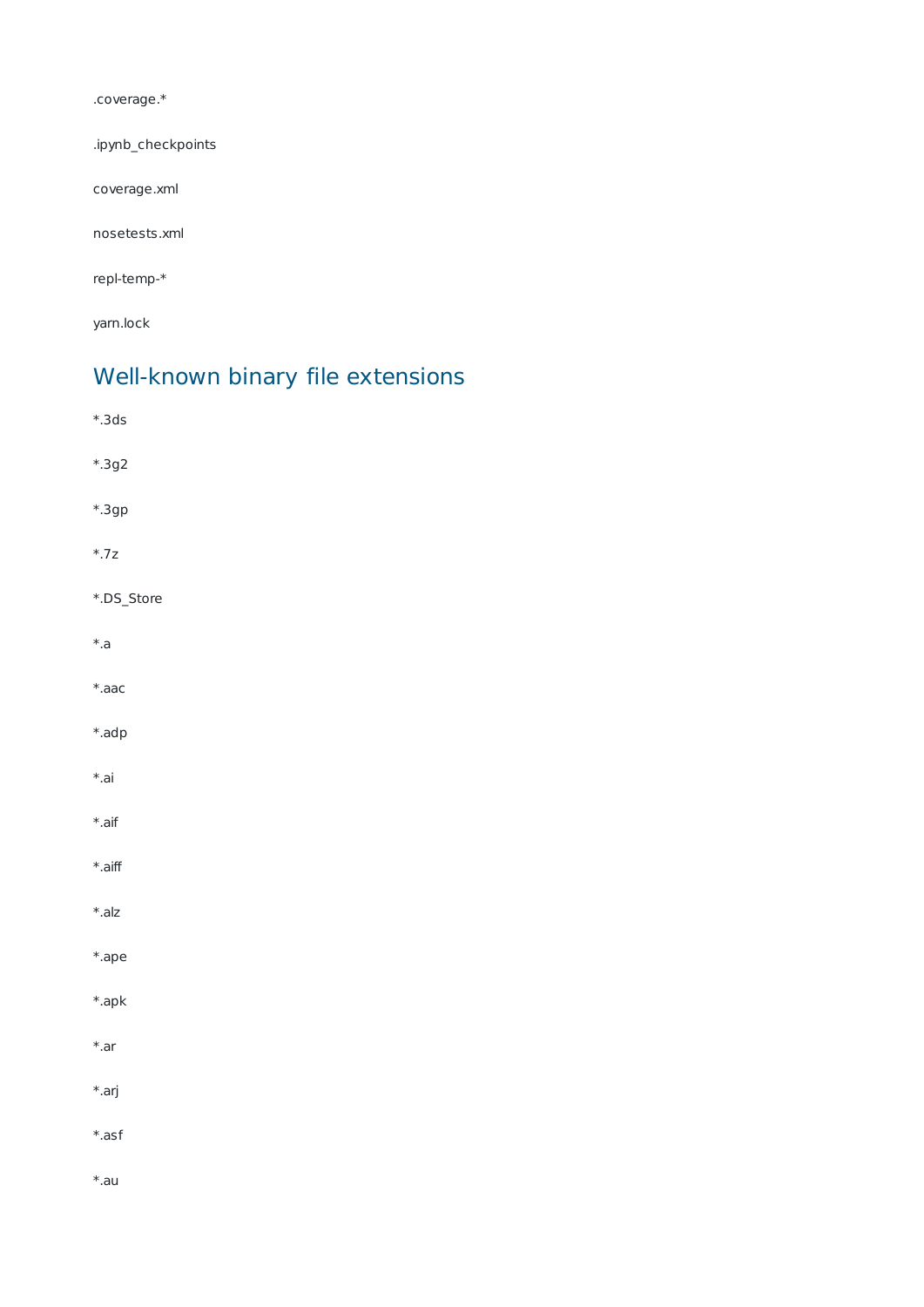.coverage.\*

.ipynb\_checkpoints

coverage.xml

nosetests.xml

repl-temp-\*

yarn.lock

### Well-known binary file extensions

| $*.3ds$      |
|--------------|
| $*.3g2$      |
| *.3gp        |
| $^{\ast}.7z$ |
| *.DS_Store   |
| $^{\ast}.$ a |
| $*$ .aac     |
| *.adp        |
| $*$ .ai      |
| $*$ .aif     |
| $*.$ aiff    |
| $*.alz$      |
| *.ape        |
| $*.$ apk     |
| $*$ .ar      |
| $*.$ arj     |
| $*.asf$      |
| $*$ .au      |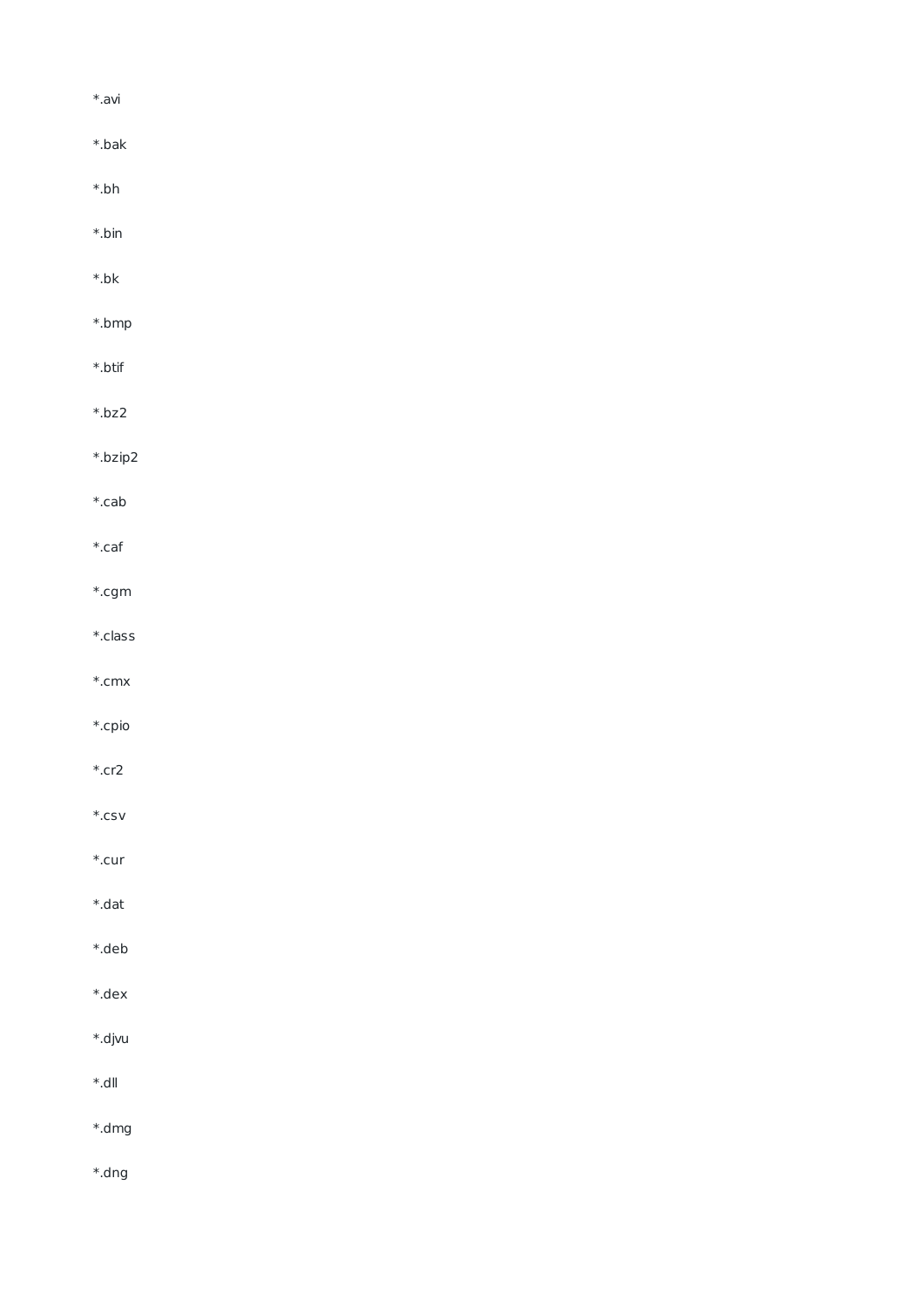| *.avi    |  |  |  |
|----------|--|--|--|
| *.bak    |  |  |  |
| *.bh     |  |  |  |
| *.bin    |  |  |  |
| *.bk     |  |  |  |
| *.bmp    |  |  |  |
| *.btif   |  |  |  |
| *.bz2    |  |  |  |
| *.bzip2  |  |  |  |
| *.cab    |  |  |  |
| *.caf    |  |  |  |
| $*.$ cgm |  |  |  |
| *.class  |  |  |  |
| *.cmx    |  |  |  |
| *.cpio   |  |  |  |
| *.cr2    |  |  |  |
| $*.$ csv |  |  |  |
| *.cur    |  |  |  |
| *.dat    |  |  |  |
| *.deb    |  |  |  |
| *.dex    |  |  |  |
| *.djvu   |  |  |  |
| llb.*    |  |  |  |
| *.dmg    |  |  |  |
| t.dng#   |  |  |  |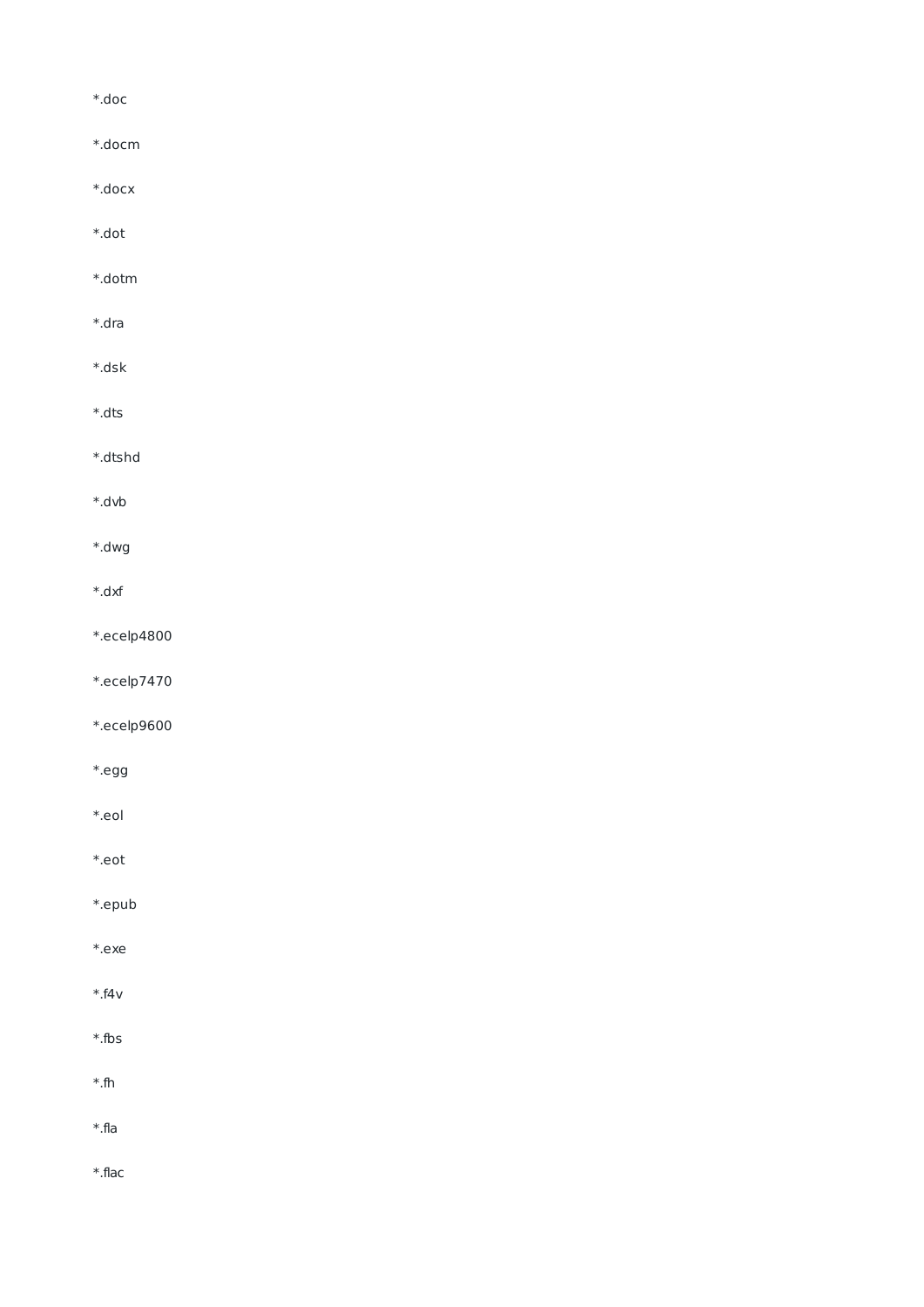$*.$ doc

- \*.docm
- \*.docx
- \*.dot
- \*.dotm
- $*.$ dra
- \*.dsk
- $*.$ dts
- \*.dtshd
- \*.dvb
- \*.dwg
- $*.dxf$
- \*.ecelp4800
- \*.ecelp7470
- \*.ecelp9600
- \*.egg
- \*.eol
- \*.eot
- 
- \*.epub
- \*.exe
- $*$ .f4 $v$
- $*$ .fbs
- $*$ .fh
- $*$ .fla
- \*.flac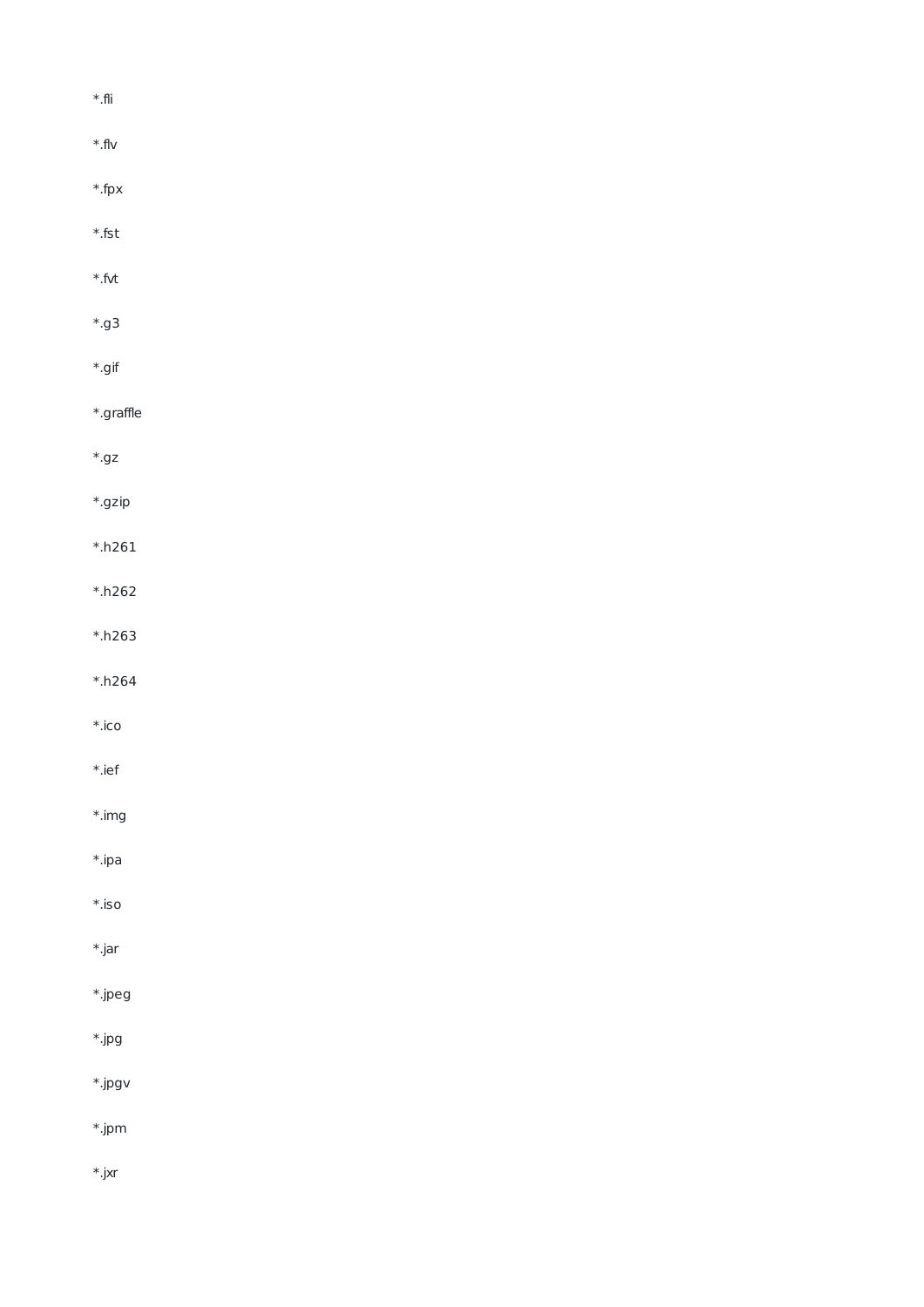| $^\ast$ fli     |  |  |
|-----------------|--|--|
| $^{\ast}$ flv   |  |  |
| $*$ .fpx        |  |  |
| $^\ast$ fst     |  |  |
| $^\ast$ fvt     |  |  |
| $\ast$ .g3      |  |  |
| $^\ast$ gif     |  |  |
| $*$ .graffle    |  |  |
| $^\ast$ .gz     |  |  |
| $*.$ gzip       |  |  |
| $*.h261$        |  |  |
| $*h262$         |  |  |
| $*.h263$        |  |  |
| $^{\ast}.$ h264 |  |  |
| $*.$ ico        |  |  |
| $*.ief$         |  |  |
| $*.img$         |  |  |
| $*$ .ipa        |  |  |
| $^\ast$ .iso    |  |  |
| $*.jar$         |  |  |
| $*.$ jpeg       |  |  |
| $*$ .jpg        |  |  |
| $*$ .jpgv       |  |  |
| $*$ .jpm        |  |  |
| $*$ .jxr        |  |  |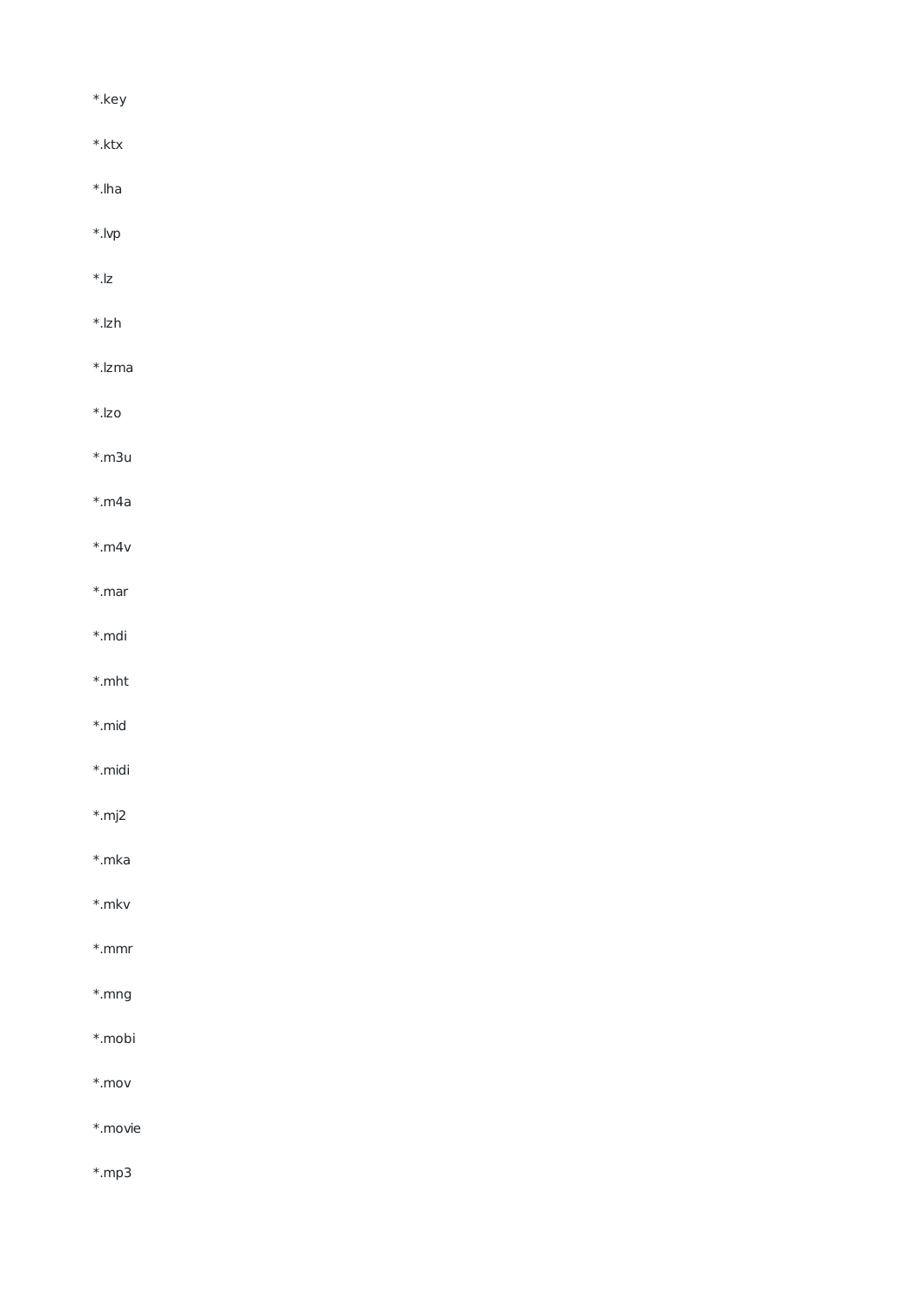| $*.$ key             |  |  |
|----------------------|--|--|
| $^\ast.\mathsf{ktx}$ |  |  |
| $*.$ lha             |  |  |
| $*$ .lvp             |  |  |
| $\ast$ .<br> z       |  |  |
| $^\ast$ .lzh         |  |  |
| *.lzma               |  |  |
| $^\ast$ .lzo         |  |  |
| $*.m3u$              |  |  |
| $*$ .m4a             |  |  |
| $*$ .m4v             |  |  |
| $*$ .mar             |  |  |
| $\ast$ .mdi          |  |  |
| $^\ast.\mathsf{mht}$ |  |  |
| $*$ .mid             |  |  |
| *.midi               |  |  |
| $*.mj2$              |  |  |
| $*$ .mka             |  |  |
| $*$ .mkv             |  |  |
| $\ast.\text{mmr}$    |  |  |
| $\ast$ .mng          |  |  |
| $^\ast$ .<br>mobi    |  |  |
| $^\ast$ .mov         |  |  |
| $*$ .movie           |  |  |
| $*$ .mp3             |  |  |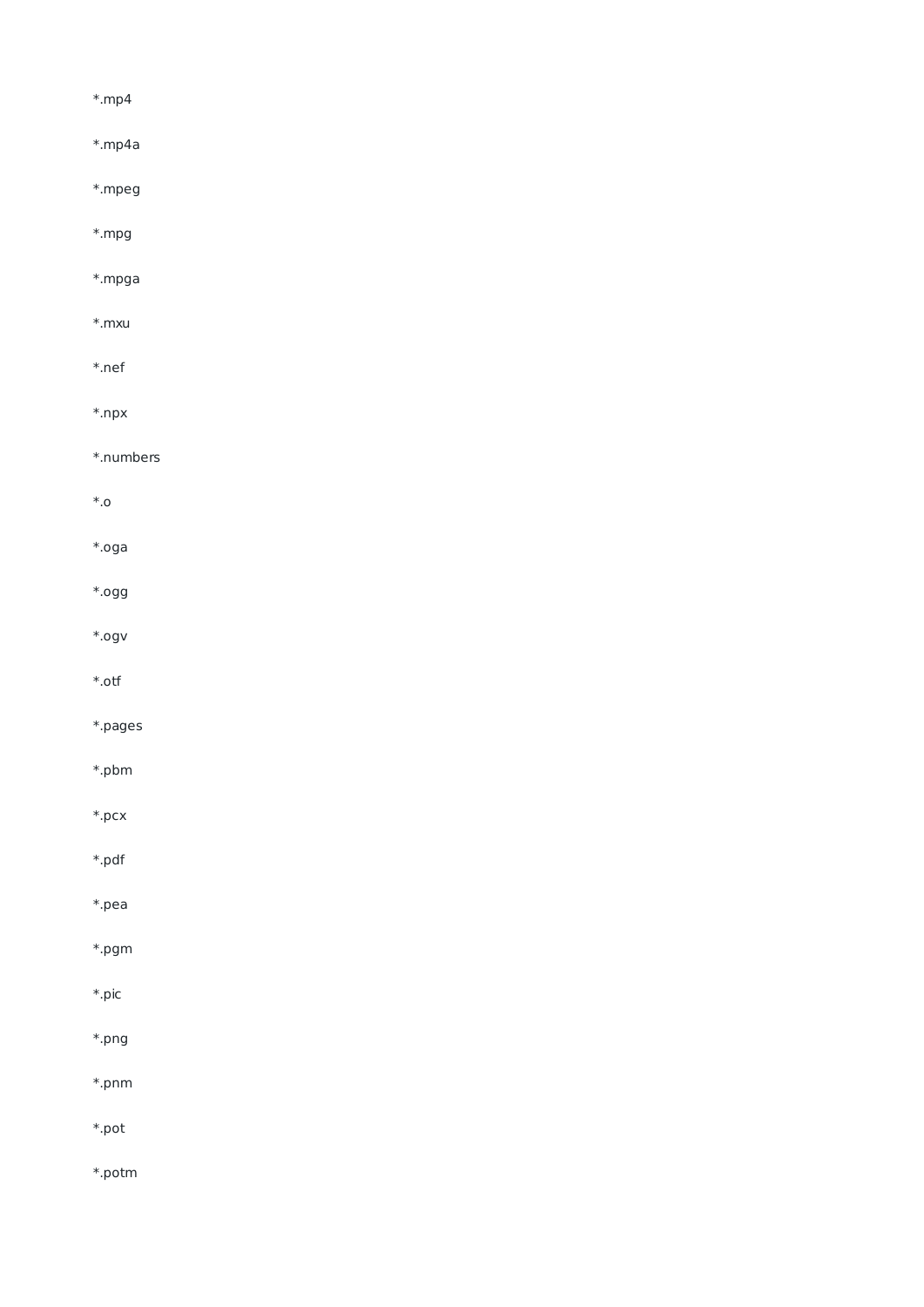$*$ .mp4 \*.mp4a

\*.mpeg

\*.mpg

\*.mpga

\*.mxu

\*.nef

 $*$ .npx

\*.numbers

 $^\ast$ .0

\*.oga

\*.ogg

 $*.$ ogv

 $^\ast$  .otf

\*.pages

 $*.$ pbm

 $*.pcx$ 

\*.pdf

\*.pea

\*.pgm

\*.pic

 $*$ .png

\*.pnm

\*.pot

\*.potm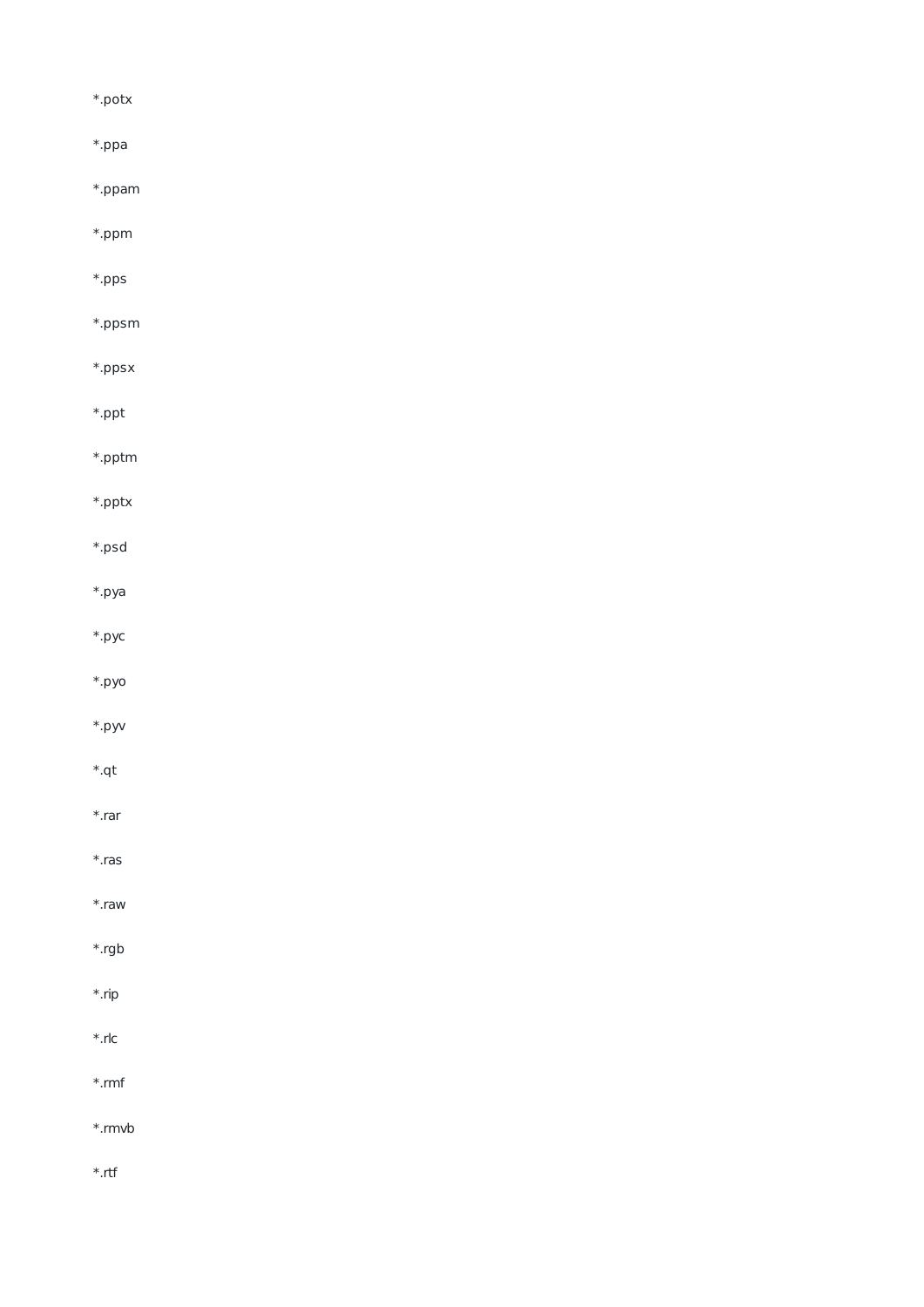$^\ast.\mathsf{potx}$ \*.ppa  $*$ .ppam \*.ppm \*.pps \*.ppsm \*.ppsx  $*.$ ppt \*.pptm  $*$ .pptx \*.psd \*.pya  $*,$ pyc  $*$ .pyo

- \*.pyv
- $*$ .qt \*.rar
- $*$ .ras \*.raw
- \*.rgb \*.rip  $*.$ rlc
- $*$ .rmf \*.rmvb
- $*$ .rtf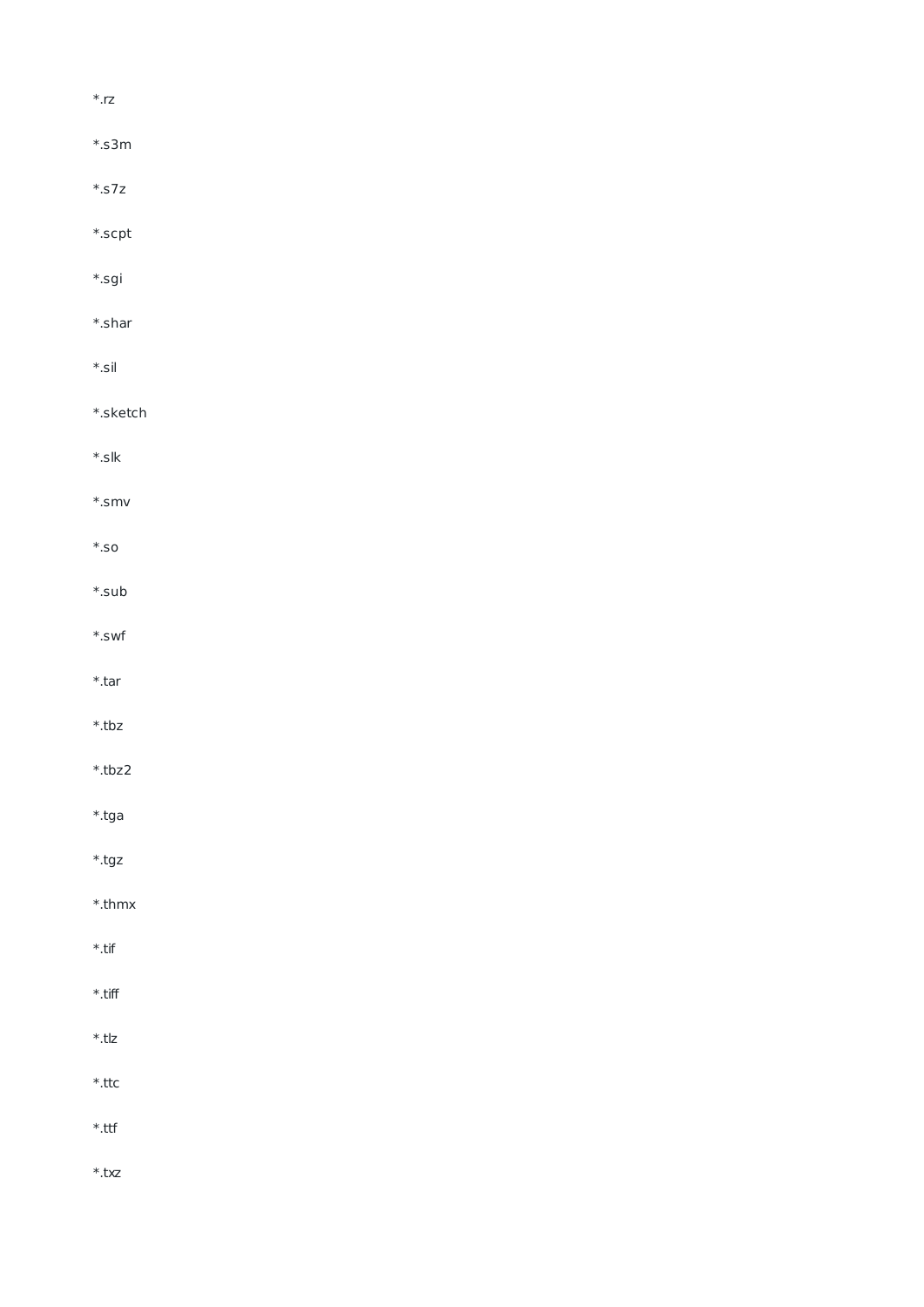| $\ast$ rz            |  |  |
|----------------------|--|--|
| $*.s3m$              |  |  |
| $\ast$ .57z          |  |  |
| $\ast$ scpt          |  |  |
| $*.$ sgi             |  |  |
| $\ast$ shar          |  |  |
| $\ast$ sil           |  |  |
| $\ast$ .sketch       |  |  |
| $\ast$ slk           |  |  |
| $\ast$ .smv          |  |  |
| $\ast$ .so           |  |  |
| $\ast$ sub           |  |  |
| $\ast$ .swf          |  |  |
| $*$ .tar             |  |  |
| $*$ .tbz             |  |  |
| $*.$ tbz2            |  |  |
| $*.$ tga             |  |  |
| $^\ast.\texttt{tgz}$ |  |  |
| $^\ast$ .thmx        |  |  |
| $^\ast$ .tif         |  |  |
| $^\ast$ .tiff        |  |  |
| $^\ast$ .tlz         |  |  |
| $^\ast$ .ttc         |  |  |
| $^\ast$ .ttf         |  |  |
| $^\ast$ .txz         |  |  |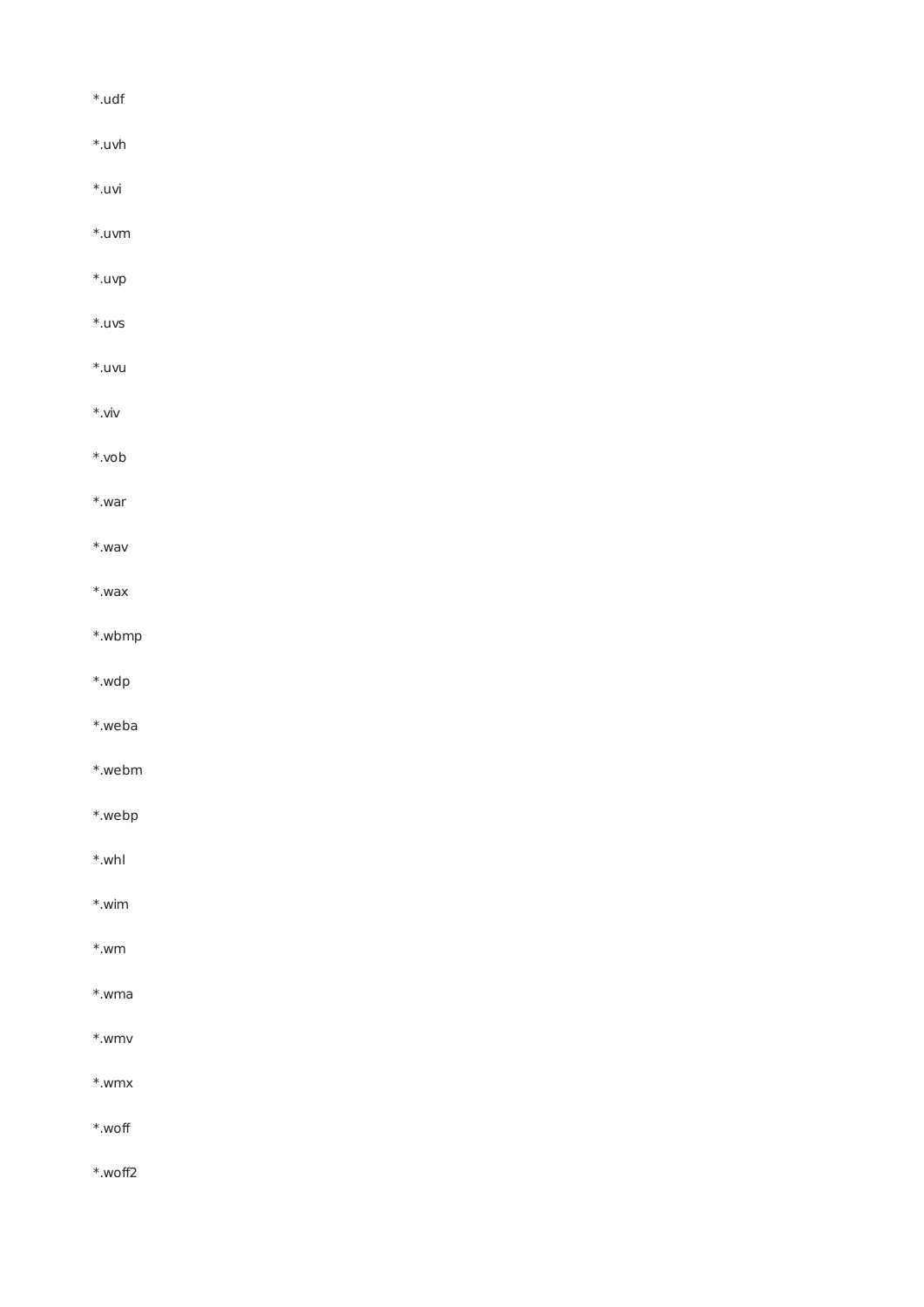| $*.$ udf         |  |  |  |
|------------------|--|--|--|
| $*.uvh$          |  |  |  |
| $*.$ uvi         |  |  |  |
| $*.uvm$          |  |  |  |
| $*.$ uvp         |  |  |  |
| $^\ast$ .uvs     |  |  |  |
| $*.uvu$          |  |  |  |
| $*.$ viv         |  |  |  |
| $*$ .vob         |  |  |  |
| $*.war$          |  |  |  |
| $*.$ wav         |  |  |  |
| $*.$ wax         |  |  |  |
| $*.wbmp$         |  |  |  |
| *.wdp            |  |  |  |
| $*.$ weba        |  |  |  |
| *.webm           |  |  |  |
| $*.webp$         |  |  |  |
| $*.whl$          |  |  |  |
| $^\ast\!\!$ .wim |  |  |  |
| $*.wm$           |  |  |  |
| $*www$ .wma      |  |  |  |
| $^\ast\!.$ wmv   |  |  |  |
| $\ast$ wmx       |  |  |  |
| $^\ast$ woff     |  |  |  |
| $*.$ woff2       |  |  |  |